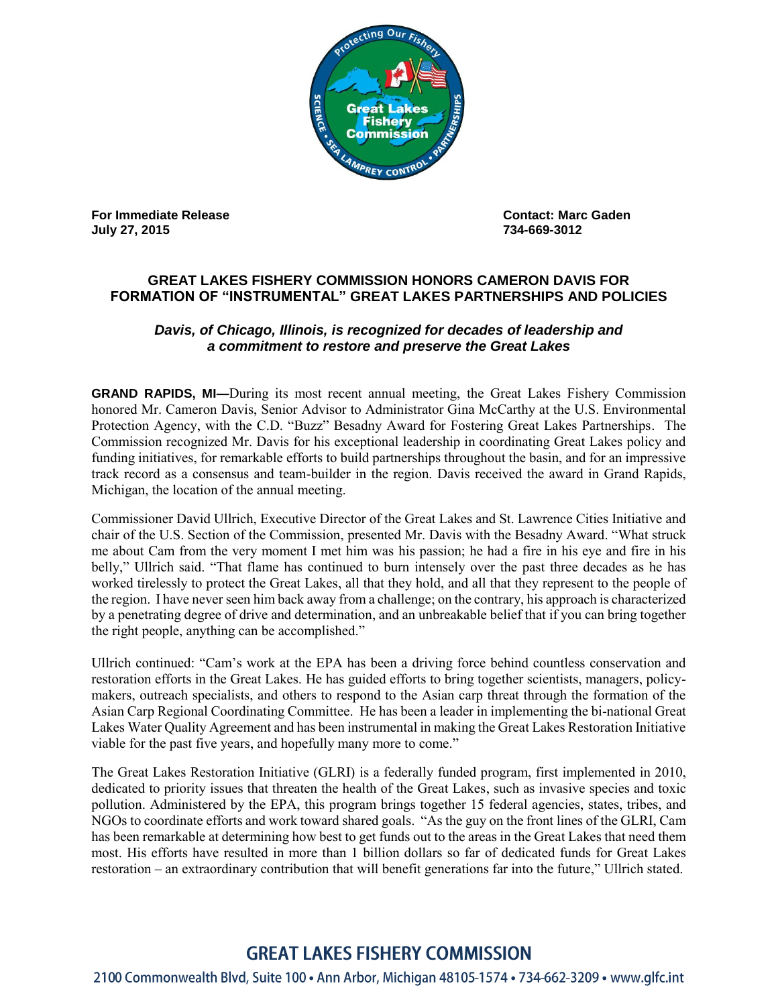

**For Immediate Release Contact: Marc Gaden July 27, 2015 734-669-3012** 

## **GREAT LAKES FISHERY COMMISSION HONORS CAMERON DAVIS FOR FORMATION OF "INSTRUMENTAL" GREAT LAKES PARTNERSHIPS AND POLICIES**

## *Davis, of Chicago, Illinois, is recognized for decades of leadership and a commitment to restore and preserve the Great Lakes*

**GRAND RAPIDS, MI—**During its most recent annual meeting, the Great Lakes Fishery Commission honored Mr. Cameron Davis, Senior Advisor to Administrator Gina McCarthy at the U.S. Environmental Protection Agency, with the C.D. "Buzz" Besadny Award for Fostering Great Lakes Partnerships. The Commission recognized Mr. Davis for his exceptional leadership in coordinating Great Lakes policy and funding initiatives, for remarkable efforts to build partnerships throughout the basin, and for an impressive track record as a consensus and team-builder in the region. Davis received the award in Grand Rapids, Michigan, the location of the annual meeting.

Commissioner David Ullrich, Executive Director of the Great Lakes and St. Lawrence Cities Initiative and chair of the U.S. Section of the Commission, presented Mr. Davis with the Besadny Award. "What struck me about Cam from the very moment I met him was his passion; he had a fire in his eye and fire in his belly," Ullrich said. "That flame has continued to burn intensely over the past three decades as he has worked tirelessly to protect the Great Lakes, all that they hold, and all that they represent to the people of the region. I have never seen him back away from a challenge; on the contrary, his approach is characterized by a penetrating degree of drive and determination, and an unbreakable belief that if you can bring together the right people, anything can be accomplished."

Ullrich continued: "Cam's work at the EPA has been a driving force behind countless conservation and restoration efforts in the Great Lakes. He has guided efforts to bring together scientists, managers, policymakers, outreach specialists, and others to respond to the Asian carp threat through the formation of the Asian Carp Regional Coordinating Committee. He has been a leader in implementing the bi-national Great Lakes Water Quality Agreement and has been instrumental in making the Great Lakes Restoration Initiative viable for the past five years, and hopefully many more to come."

The Great Lakes Restoration Initiative (GLRI) is a federally funded program, first implemented in 2010, dedicated to priority issues that threaten the health of the Great Lakes, such as invasive species and toxic pollution. Administered by the EPA, this program brings together 15 federal agencies, states, tribes, and NGOs to coordinate efforts and work toward shared goals. "As the guy on the front lines of the GLRI, Cam has been remarkable at determining how best to get funds out to the areas in the Great Lakes that need them most. His efforts have resulted in more than 1 billion dollars so far of dedicated funds for Great Lakes restoration – an extraordinary contribution that will benefit generations far into the future," Ullrich stated.

## **GREAT LAKES FISHERY COMMISSION**

2100 Commonwealth Blvd, Suite 100 · Ann Arbor, Michigan 48105-1574 · 734-662-3209 · www.glfc.int